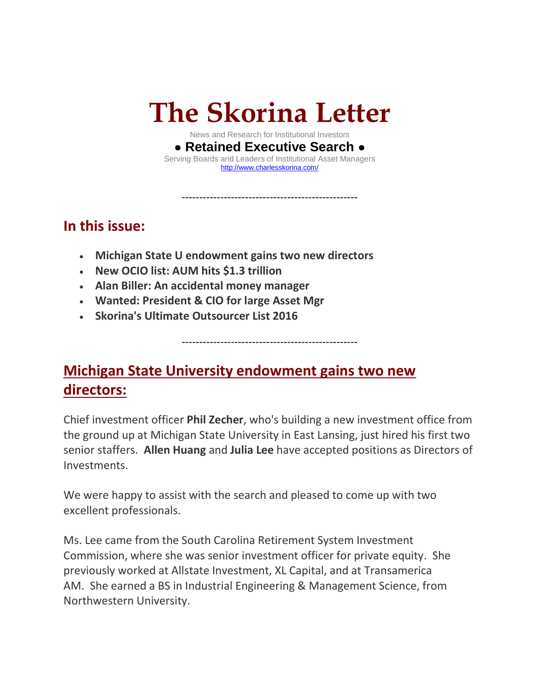# **The Skorina Letter**

News and Research for Institutional Investors **● Retained Executive Search ●** Serving Boards and Leaders of Institutional Asset Managers [http://www.charlesskorina.com/](http://r20.rs6.net/tn.jsp?f=001z8JhFmRy9R2F3iE_OQG4LjlgPKUMqXysoEvt30BVyxcweEwB92UihY9eS4p_J_g1ssyk89F6Ccjwcmz65v994i7ps-o32sL_L_j2-jiaeX8JPj4QB8qOR8LLZ0Wk31z8SBVsuQERnvUiy1nklXmN-S2ZLHi4qWeLOD4Ls0E_tKGdsHoHimRYuw==&c=M_mgwqRxNFJEscl4ApF5Crpbzq8V-aFg5CQASEZzD_hVmn3T-T6yFQ==&ch=vImQgGxUtClmXbJTn1wv7iF3AxyrhC3kboQp0C5aYQKU5qRfSWccug==)

--------------------------------------------------

### **In this issue:**

- **Michigan State U endowment gains two new directors**
- **New OCIO list: AUM hits \$1.3 trillion**
- **Alan Biller: An accidental money manager**
- **Wanted: President & CIO for large Asset Mgr**
- **Skorina's Ultimate Outsourcer List 2016**

**Michigan State University endowment gains two new directors:**

Chief investment officer **Phil Zecher**, who's building a new investment office from the ground up at Michigan State University in East Lansing, just hired his first two senior staffers. **Allen Huang** and **Julia Lee** have accepted positions as Directors of Investments.

--------------------------------------------------

We were happy to assist with the search and pleased to come up with two excellent professionals.

Ms. Lee came from the South Carolina Retirement System Investment Commission, where she was senior investment officer for private equity. She previously worked at Allstate Investment, XL Capital, and at Transamerica AM. She earned a BS in Industrial Engineering & Management Science, from Northwestern University.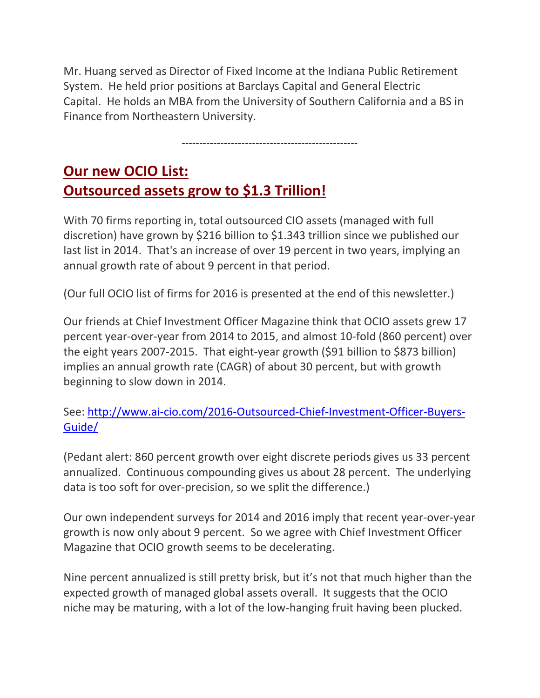Mr. Huang served as Director of Fixed Income at the Indiana Public Retirement System. He held prior positions at Barclays Capital and General Electric Capital. He holds an MBA from the University of Southern California and a BS in Finance from Northeastern University.

--------------------------------------------------

## **Our new OCIO List: Outsourced assets grow to \$1.3 Trillion!**

With 70 firms reporting in, total outsourced CIO assets (managed with full discretion) have grown by \$216 billion to \$1.343 trillion since we published our last list in 2014. That's an increase of over 19 percent in two years, implying an annual growth rate of about 9 percent in that period.

(Our full OCIO list of firms for 2016 is presented at the end of this newsletter.)

Our friends at Chief Investment Officer Magazine think that OCIO assets grew 17 percent year-over-year from 2014 to 2015, and almost 10-fold (860 percent) over the eight years 2007-2015. That eight-year growth (\$91 billion to \$873 billion) implies an annual growth rate (CAGR) of about 30 percent, but with growth beginning to slow down in 2014.

See: [http://www.ai-cio.com/2016-Outsourced-Chief-Investment-Officer-Buyers-](http://www.ai-cio.com/2016-Outsourced-Chief-Investment-Officer-Buyers-Guide/)[Guide/](http://www.ai-cio.com/2016-Outsourced-Chief-Investment-Officer-Buyers-Guide/)

(Pedant alert: 860 percent growth over eight discrete periods gives us 33 percent annualized. Continuous compounding gives us about 28 percent. The underlying data is too soft for over-precision, so we split the difference.)

Our own independent surveys for 2014 and 2016 imply that recent year-over-year growth is now only about 9 percent. So we agree with Chief Investment Officer Magazine that OCIO growth seems to be decelerating.

Nine percent annualized is still pretty brisk, but it's not that much higher than the expected growth of managed global assets overall. It suggests that the OCIO niche may be maturing, with a lot of the low-hanging fruit having been plucked.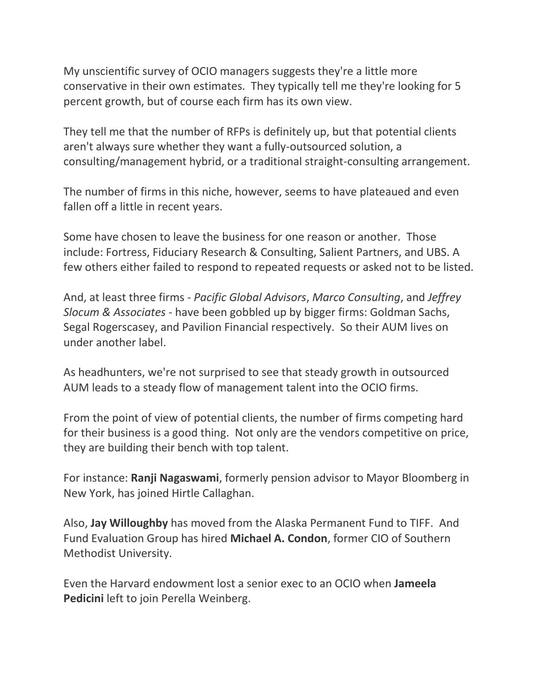My unscientific survey of OCIO managers suggests they're a little more conservative in their own estimates. They typically tell me they're looking for 5 percent growth, but of course each firm has its own view.

They tell me that the number of RFPs is definitely up, but that potential clients aren't always sure whether they want a fully-outsourced solution, a consulting/management hybrid, or a traditional straight-consulting arrangement.

The number of firms in this niche, however, seems to have plateaued and even fallen off a little in recent years.

Some have chosen to leave the business for one reason or another. Those include: Fortress, Fiduciary Research & Consulting, Salient Partners, and UBS. A few others either failed to respond to repeated requests or asked not to be listed.

And, at least three firms - *Pacific Global Advisors*, *Marco Consulting*, and *Jeffrey Slocum & Associates* - have been gobbled up by bigger firms: Goldman Sachs, Segal Rogerscasey, and Pavilion Financial respectively. So their AUM lives on under another label.

As headhunters, we're not surprised to see that steady growth in outsourced AUM leads to a steady flow of management talent into the OCIO firms.

From the point of view of potential clients, the number of firms competing hard for their business is a good thing. Not only are the vendors competitive on price, they are building their bench with top talent.

For instance: **Ranji Nagaswami**, formerly pension advisor to Mayor Bloomberg in New York, has joined Hirtle Callaghan.

Also, **Jay Willoughby** has moved from the Alaska Permanent Fund to TIFF. And Fund Evaluation Group has hired **Michael A. Condon**, former CIO of Southern Methodist University.

Even the Harvard endowment lost a senior exec to an OCIO when **Jameela Pedicini** left to join Perella Weinberg.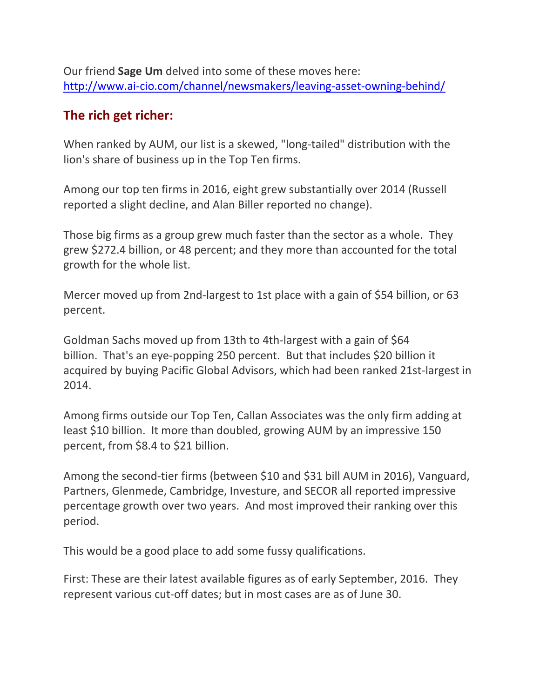Our friend **Sage Um** delved into some of these moves here: [http://www.ai-cio.com/channel/newsmakers/leaving-asset-owning-behind/](http://r20.rs6.net/tn.jsp?f=001Oo6jPgLb3v-aMEABZBuJsP7WpZkkxcrTCBRgoJ3zbPm_gQk_8nsprkdzO0iLUoekgsZ0FSFvoztbvJmVJCpSueiTVdTJFjJCeCKW3E0i6dA7_4BrCkWFZrPHml9ji9YF-Alx1e5kp2OpIA7UJe5mJ23QVLfHRMZGrpmEn21VJBef2RjPXW26CDEvhujncq9IpWu2XcV7Xt_cp8aAU4L7vCPIYxJ_-VE8pI0QD0o-Qa3UfnZXpaeBVQ==&c=a71PMIzNOilXBpqCYLvW8Ci0rnOUbOoiTq43OmIGvU3T3Yf14n22cw==&ch=1RLvT6130_-btzHRtnyluC77ObWBXjQb-HNmQyftUeelwDkaXCQ3Pg==)

#### **The rich get richer:**

When ranked by AUM, our list is a skewed, "long-tailed" distribution with the lion's share of business up in the Top Ten firms.

Among our top ten firms in 2016, eight grew substantially over 2014 (Russell reported a slight decline, and Alan Biller reported no change).

Those big firms as a group grew much faster than the sector as a whole. They grew \$272.4 billion, or 48 percent; and they more than accounted for the total growth for the whole list.

Mercer moved up from 2nd-largest to 1st place with a gain of \$54 billion, or 63 percent.

Goldman Sachs moved up from 13th to 4th-largest with a gain of \$64 billion. That's an eye-popping 250 percent. But that includes \$20 billion it acquired by buying Pacific Global Advisors, which had been ranked 21st-largest in 2014.

Among firms outside our Top Ten, Callan Associates was the only firm adding at least \$10 billion. It more than doubled, growing AUM by an impressive 150 percent, from \$8.4 to \$21 billion.

Among the second-tier firms (between \$10 and \$31 bill AUM in 2016), Vanguard, Partners, Glenmede, Cambridge, Investure, and SECOR all reported impressive percentage growth over two years. And most improved their ranking over this period.

This would be a good place to add some fussy qualifications.

First: These are their latest available figures as of early September, 2016. They represent various cut-off dates; but in most cases are as of June 30.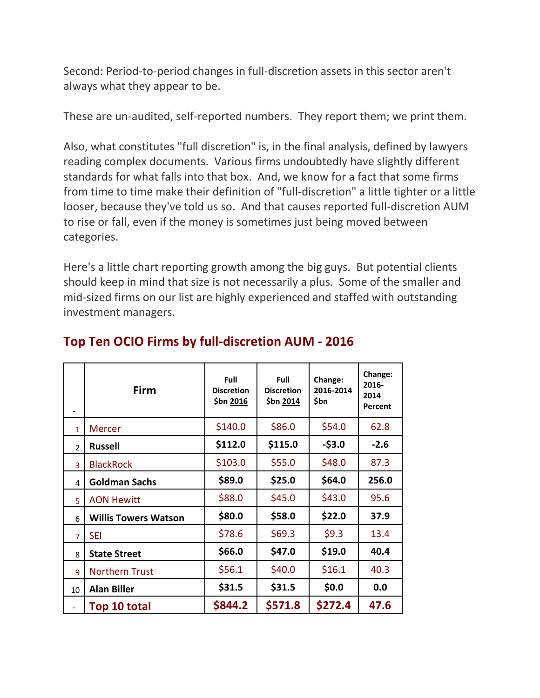Second: Period-to-period changes in full-discretion assets in this sector aren't always what they appear to be.

These are un-audited, self-reported numbers. They report them; we print them.

Also, what constitutes "full discretion" is, in the final analysis, defined by lawyers reading complex documents. Various firms undoubtedly have slightly different standards for what falls into that box. And, we know for a fact that some firms from time to time make their definition of "full-discretion" a little tighter or a little looser, because they've told us so. And that causes reported full-discretion AUM to rise or fall, even if the money is sometimes just being moved between categories.

Here's a little chart reporting growth among the big guys. But potential clients should keep in mind that size is not necessarily a plus. Some of the smaller and mid-sized firms on our list are highly experienced and staffed with outstanding investment managers.

|                          | <b>Firm</b>                 | Full<br><b>Discretion</b><br>\$bn 2016 | <b>Full</b><br><b>Discretion</b><br>\$bn 2014 | Change:<br>2016-2014<br>\$bn | Change:<br>2016-<br>2014<br>Percent |
|--------------------------|-----------------------------|----------------------------------------|-----------------------------------------------|------------------------------|-------------------------------------|
| $\mathbf{1}$             | <b>Mercer</b>               | \$140.0                                | \$86.0                                        | \$54.0                       | 62.8                                |
| $\overline{\phantom{a}}$ | <b>Russell</b>              | \$112.0                                | \$115.0                                       | $-53.0$                      | $-2.6$                              |
| 3                        | <b>BlackRock</b>            | \$103.0                                | \$55.0                                        | \$48.0                       | 87.3                                |
| 4                        | <b>Goldman Sachs</b>        | \$89.0                                 | \$25.0                                        | \$64.0                       | 256.0                               |
| 5                        | <b>AON Hewitt</b>           | \$88.0                                 | \$45.0                                        | \$43.0                       | 95.6                                |
| 6                        | <b>Willis Towers Watson</b> | \$80.0                                 | \$58.0                                        | \$22.0                       | 37.9                                |
| $\overline{7}$           | <b>SEI</b>                  | \$78.6                                 | \$69.3                                        | \$9.3                        | 13.4                                |
| 8                        | <b>State Street</b>         | \$66.0                                 | \$47.0                                        | \$19.0                       | 40.4                                |
| 9                        | <b>Northern Trust</b>       | \$56.1                                 | \$40.0                                        | \$16.1                       | 40.3                                |
| 10                       | <b>Alan Biller</b>          | \$31.5                                 | \$31.5                                        | \$0.0                        | 0.0                                 |
|                          | Top 10 total                | \$844.2                                | \$571.8                                       | \$272.4                      | 47.6                                |

#### **Top Ten OCIO Firms by full-discretion AUM - 2016**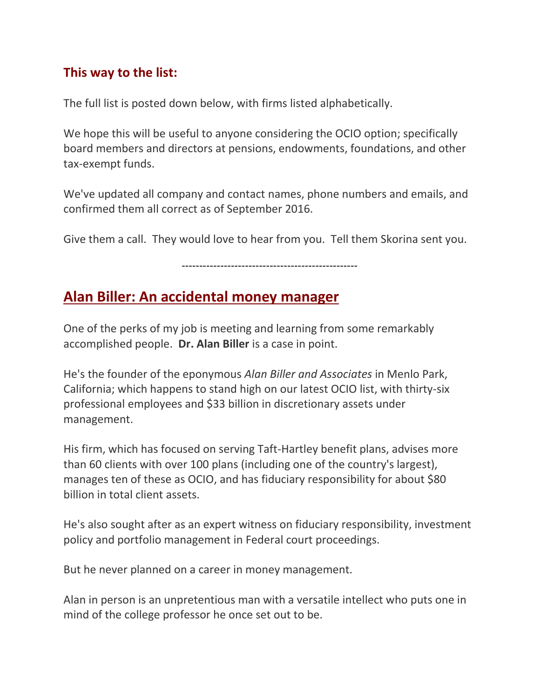#### **This way to the list:**

The full list is posted down below, with firms listed alphabetically.

We hope this will be useful to anyone considering the OCIO option; specifically board members and directors at pensions, endowments, foundations, and other tax-exempt funds.

We've updated all company and contact names, phone numbers and emails, and confirmed them all correct as of September 2016.

Give them a call. They would love to hear from you. Tell them Skorina sent you.

--------------------------------------------------

#### **Alan Biller: An accidental money manager**

One of the perks of my job is meeting and learning from some remarkably accomplished people. **Dr. Alan Biller** is a case in point.

He's the founder of the eponymous *Alan Biller and Associates* in Menlo Park, California; which happens to stand high on our latest OCIO list, with thirty-six professional employees and \$33 billion in discretionary assets under management.

His firm, which has focused on serving Taft-Hartley benefit plans, advises more than 60 clients with over 100 plans (including one of the country's largest), manages ten of these as OCIO, and has fiduciary responsibility for about \$80 billion in total client assets.

He's also sought after as an expert witness on fiduciary responsibility, investment policy and portfolio management in Federal court proceedings.

But he never planned on a career in money management.

Alan in person is an unpretentious man with a versatile intellect who puts one in mind of the college professor he once set out to be.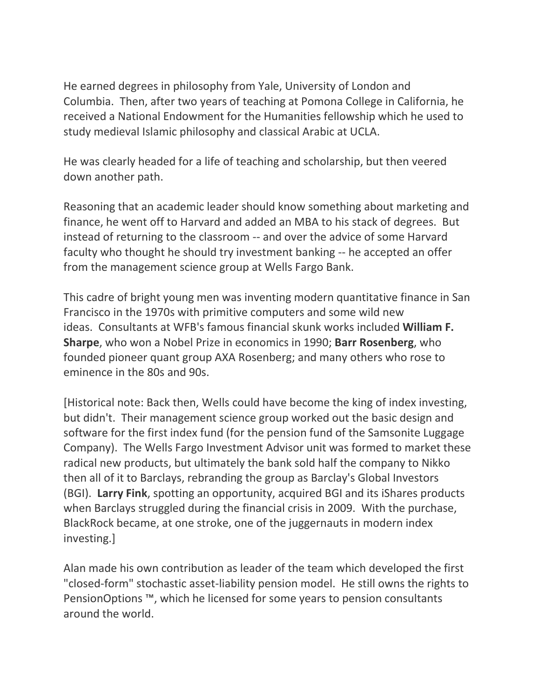He earned degrees in philosophy from Yale, University of London and Columbia. Then, after two years of teaching at Pomona College in California, he received a National Endowment for the Humanities fellowship which he used to study medieval Islamic philosophy and classical Arabic at UCLA.

He was clearly headed for a life of teaching and scholarship, but then veered down another path.

Reasoning that an academic leader should know something about marketing and finance, he went off to Harvard and added an MBA to his stack of degrees. But instead of returning to the classroom -- and over the advice of some Harvard faculty who thought he should try investment banking -- he accepted an offer from the management science group at Wells Fargo Bank.

This cadre of bright young men was inventing modern quantitative finance in San Francisco in the 1970s with primitive computers and some wild new ideas. Consultants at WFB's famous financial skunk works included **William F. Sharpe**, who won a Nobel Prize in economics in 1990; **Barr Rosenberg**, who founded pioneer quant group AXA Rosenberg; and many others who rose to eminence in the 80s and 90s.

[Historical note: Back then, Wells could have become the king of index investing, but didn't. Their management science group worked out the basic design and software for the first index fund (for the pension fund of the Samsonite Luggage Company). The Wells Fargo Investment Advisor unit was formed to market these radical new products, but ultimately the bank sold half the company to Nikko then all of it to Barclays, rebranding the group as Barclay's Global Investors (BGI). **Larry Fink**, spotting an opportunity, acquired BGI and its iShares products when Barclays struggled during the financial crisis in 2009. With the purchase, BlackRock became, at one stroke, one of the juggernauts in modern index investing.]

Alan made his own contribution as leader of the team which developed the first "closed-form" stochastic asset-liability pension model. He still owns the rights to PensionOptions ™, which he licensed for some years to pension consultants around the world.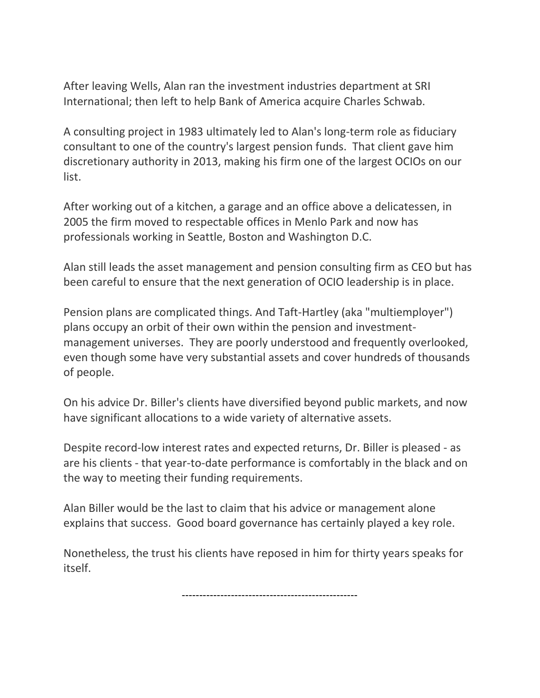After leaving Wells, Alan ran the investment industries department at SRI International; then left to help Bank of America acquire Charles Schwab.

A consulting project in 1983 ultimately led to Alan's long-term role as fiduciary consultant to one of the country's largest pension funds. That client gave him discretionary authority in 2013, making his firm one of the largest OCIOs on our list.

After working out of a kitchen, a garage and an office above a delicatessen, in 2005 the firm moved to respectable offices in Menlo Park and now has professionals working in Seattle, Boston and Washington D.C.

Alan still leads the asset management and pension consulting firm as CEO but has been careful to ensure that the next generation of OCIO leadership is in place.

Pension plans are complicated things. And Taft-Hartley (aka "multiemployer") plans occupy an orbit of their own within the pension and investmentmanagement universes. They are poorly understood and frequently overlooked, even though some have very substantial assets and cover hundreds of thousands of people.

On his advice Dr. Biller's clients have diversified beyond public markets, and now have significant allocations to a wide variety of alternative assets.

Despite record-low interest rates and expected returns, Dr. Biller is pleased - as are his clients - that year-to-date performance is comfortably in the black and on the way to meeting their funding requirements.

Alan Biller would be the last to claim that his advice or management alone explains that success. Good board governance has certainly played a key role.

Nonetheless, the trust his clients have reposed in him for thirty years speaks for itself.

--------------------------------------------------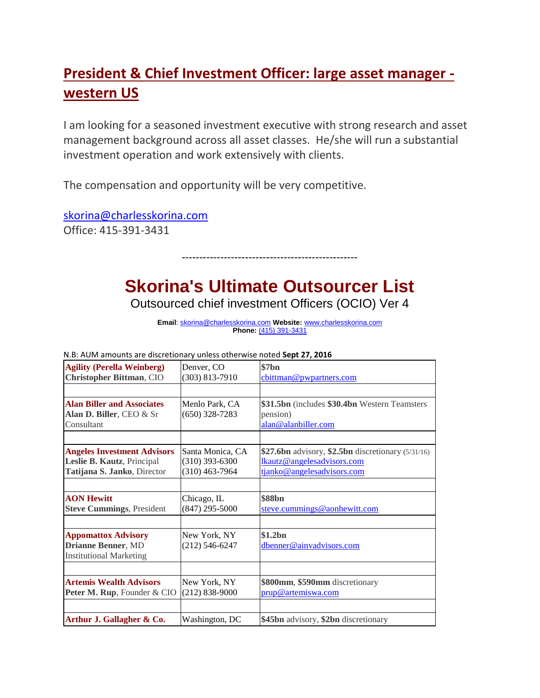# **President & Chief Investment Officer: large asset manager western US**

I am looking for a seasoned investment executive with strong research and asset management background across all asset classes. He/she will run a substantial investment operation and work extensively with clients.

The compensation and opportunity will be very competitive.

[skorina@charlesskorina.com](mailto:skorina@charlesskorina.com) Office: 415-391-3431

# **Skorina's Ultimate Outsourcer List**

--------------------------------------------------

Outsourced chief investment Officers (OCIO) Ver 4

**Email**[: skorina@charlesskorina.com](mailto:skorina@charlesskorina.com) **Website:** [www.charlesskorina.com](http://r20.rs6.net/tn.jsp?e=001qDbPlq6JhbCUWK1yyZ7wwwKgOU0K9JEGEjSSWW6tocZwb8sM_NmSLr61GV3IM9_E3AXaJHUPThpPjeKNBIolir7oUcxvtOgvPJixnqfcRahhWFJxE2PnEg==) **Phone:** (415) 391-3431

| <b>Agility (Perella Weinberg)</b>  | Denver, CO         | \$7bn                                              |
|------------------------------------|--------------------|----------------------------------------------------|
| <b>Christopher Bittman, CIO</b>    | $(303) 813 - 7910$ | cbittman@pwpartners.com                            |
|                                    |                    |                                                    |
| <b>Alan Biller and Associates</b>  | Menlo Park, CA     | \$31.5bn (includes \$30.4bn Western Teamsters      |
| Alan D. Biller, CEO & Sr           | $(650)$ 328-7283   | pension)                                           |
| Consultant                         |                    | alan@alanbiller.com                                |
|                                    |                    |                                                    |
| <b>Angeles Investment Advisors</b> | Santa Monica, CA   | \$27.6bn advisory, \$2.5bn discretionary (5/31/16) |
| Leslie B. Kautz, Principal         | $(310)$ 393-6300   | lkautz@angelesadvisors.com                         |
| Tatijana S. Janko, Director        | $(310)$ 463-7964   | tjanko@angelesadvisors.com                         |
|                                    |                    |                                                    |
| <b>AON Hewitt</b>                  | Chicago, IL        | \$88 <sub>bn</sub>                                 |
| <b>Steve Cummings, President</b>   | $(847)$ 295-5000   | steve.cummings@aonhewitt.com                       |
|                                    |                    |                                                    |
| <b>Appomattox Advisory</b>         | New York, NY       | \$1.2bn                                            |
| <b>Drianne Benner, MD</b>          | (212) 546-6247     | dbenner@ainvadvisors.com                           |
| <b>Institutional Marketing</b>     |                    |                                                    |
|                                    |                    |                                                    |
| <b>Artemis Wealth Advisors</b>     | New York, NY       | \$800mm, \$590mm discretionary                     |
| Peter M. Rup, Founder & CIO        | $(212) 838 - 9000$ | prup@artemiswa.com                                 |
|                                    |                    |                                                    |
| Arthur J. Gallagher & Co.          | Washington, DC     | \$45bn advisory, \$2bn discretionary               |

N.B: AUM amounts are discretionary unless otherwise noted **Sept 27, 2016**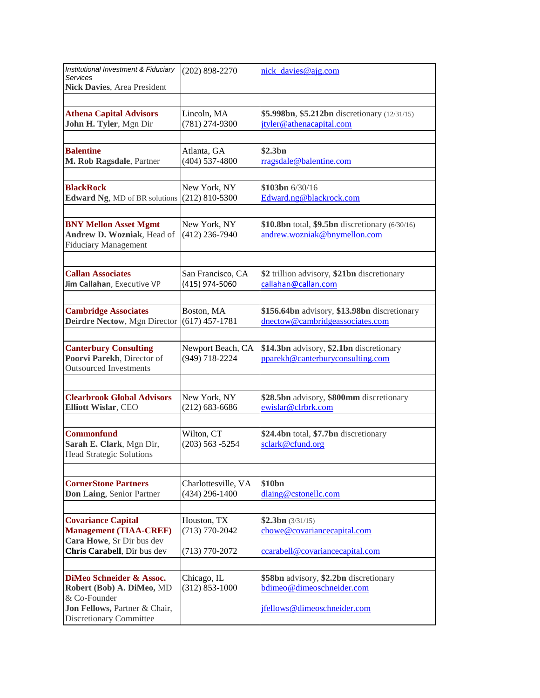| Institutional Investment & Fiduciary<br>Services                                            | $(202)$ 898-2270                        | nick_davies@ajg.com                                                             |
|---------------------------------------------------------------------------------------------|-----------------------------------------|---------------------------------------------------------------------------------|
| Nick Davies, Area President                                                                 |                                         |                                                                                 |
|                                                                                             |                                         |                                                                                 |
| <b>Athena Capital Advisors</b><br>John H. Tyler, Mgn Dir                                    | Lincoln, MA<br>(781) 274-9300           | \$5.998bn, \$5.212bn discretionary (12/31/15)<br>jtyler@athenacapital.com       |
|                                                                                             |                                         |                                                                                 |
| <b>Balentine</b>                                                                            | Atlanta, GA                             | \$2.3bn                                                                         |
| M. Rob Ragsdale, Partner                                                                    | $(404)$ 537-4800                        | rragsdale@balentine.com                                                         |
|                                                                                             |                                         |                                                                                 |
| <b>BlackRock</b><br>Edward Ng, MD of BR solutions                                           | New York, NY<br>$(212) 810 - 5300$      | $$103bn \frac{6}{30}/16$<br>Edward.ng@blackrock.com                             |
|                                                                                             |                                         |                                                                                 |
| <b>BNY Mellon Asset Mgmt</b><br>Andrew D. Wozniak, Head of<br>Fiduciary Management          | New York, NY<br>$(412)$ 236-7940        | \$10.8bn total, \$9.5bn discretionary (6/30/16)<br>andrew.wozniak@bnymellon.com |
|                                                                                             |                                         |                                                                                 |
| <b>Callan Associates</b><br>Jim Callahan, Executive VP                                      | San Francisco, CA<br>(415) 974-5060     | \$2 trillion advisory, \$21bn discretionary<br>callahan@callan.com              |
|                                                                                             |                                         |                                                                                 |
| <b>Cambridge Associates</b><br>Deirdre Nectow, Mgn Director                                 | Boston, MA<br>$(617)$ 457-1781          | \$156.64bn advisory, \$13.98bn discretionary<br>dnectow@cambridgeassociates.com |
|                                                                                             |                                         |                                                                                 |
| <b>Canterbury Consulting</b><br>Poorvi Parekh, Director of<br><b>Outsourced Investments</b> | Newport Beach, CA<br>(949) 718-2224     | \$14.3bn advisory, \$2.1bn discretionary<br>pparekh@canterburyconsulting.com    |
|                                                                                             |                                         |                                                                                 |
| <b>Clearbrook Global Advisors</b><br>Elliott Wislar, CEO                                    | New York, NY<br>$(212) 683 - 6686$      | \$28.5bn advisory, \$800mm discretionary<br>ewislar@clrbrk.com                  |
|                                                                                             |                                         |                                                                                 |
| <b>Commonfund</b><br>Sarah E. Clark, Mgn Dir,<br><b>Head Strategic Solutions</b>            | Wilton, CT<br>$(203) 563 - 5254$        | \$24.4bn total, \$7.7bn discretionary<br>sclark@cfund.org                       |
|                                                                                             |                                         |                                                                                 |
| <b>CornerStone Partners</b><br>Don Laing, Senior Partner                                    | Charlottesville, VA<br>$(434)$ 296-1400 | \$10bn<br>dlaing@cstonellc.com                                                  |
|                                                                                             |                                         |                                                                                 |
| <b>Covariance Capital</b><br><b>Management (TIAA-CREF)</b><br>Cara Howe, Sr Dir bus dev     | Houston, TX<br>$(713) 770 - 2042$       | \$2.3bn (3/31/15)<br>chowe@covariancecapital.com                                |
| Chris Carabell, Dir bus dev                                                                 | $(713) 770 - 2072$                      | ccarabell@covariancecapital.com                                                 |
|                                                                                             |                                         |                                                                                 |
| DiMeo Schneider & Assoc.<br>Robert (Bob) A. DiMeo, MD<br>& Co-Founder                       | Chicago, IL<br>$(312) 853 - 1000$       | \$58bn advisory, \$2.2bn discretionary<br>bdimeo@dimeoschneider.com             |
| Jon Fellows, Partner & Chair,<br><b>Discretionary Committee</b>                             |                                         | jfellows@dimeoschneider.com                                                     |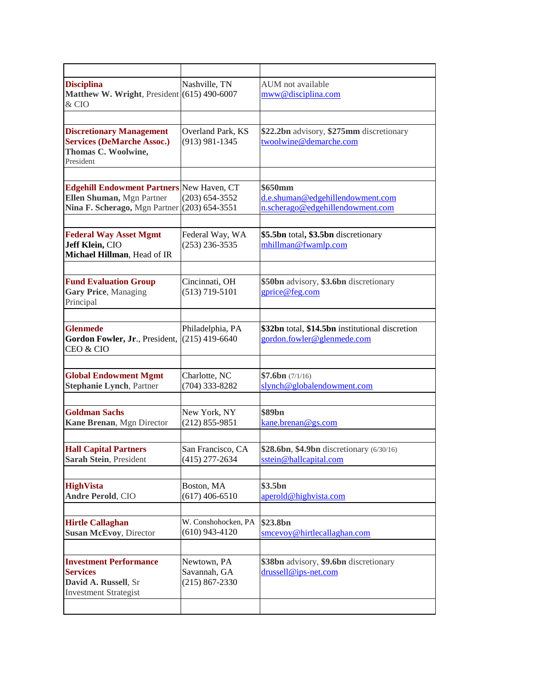| <b>Disciplina</b><br>Matthew W. Wright, President (615) 490-6007<br>& CIO                                      | Nashville, TN                                     | AUM not available<br>mww@disciplina.com                                         |
|----------------------------------------------------------------------------------------------------------------|---------------------------------------------------|---------------------------------------------------------------------------------|
|                                                                                                                |                                                   |                                                                                 |
| <b>Discretionary Management</b><br><b>Services (DeMarche Assoc.)</b><br>Thomas C. Woolwine,<br>President       | Overland Park, KS<br>$(913)$ 981-1345             | \$22.2bn advisory, \$275mm discretionary<br>twoolwine@demarche.com              |
|                                                                                                                |                                                   |                                                                                 |
| <b>Edgehill Endowment Partners New Haven, CT</b><br>Ellen Shuman, Mgn Partner<br>Nina F. Scherago, Mgn Partner | $(203) 654 - 3552$<br>$(203) 654 - 3551$          | \$650mm<br>d.e.shuman@edgehillendowment.com<br>n.scherago@edgehillendowment.com |
| <b>Federal Way Asset Mgmt</b><br>Jeff Klein, CIO<br>Michael Hillman, Head of IR                                | Federal Way, WA<br>$(253)$ 236-3535               | \$5.5bn total, \$3.5bn discretionary<br>mhillman@fwamlp.com                     |
|                                                                                                                |                                                   |                                                                                 |
| <b>Fund Evaluation Group</b><br><b>Gary Price</b> , Managing<br>Principal                                      | Cincinnati, OH<br>$(513)$ 719-5101                | \$50bn advisory, \$3.6bn discretionary<br>gprice@feg.com                        |
|                                                                                                                |                                                   |                                                                                 |
| <b>Glenmede</b><br>Gordon Fowler, Jr., President,<br>CEO & CIO                                                 | Philadelphia, PA<br>$(215)$ 419-6640              | \$32bn total, \$14.5bn institutional discretion<br>gordon.fowler@glenmede.com   |
|                                                                                                                |                                                   |                                                                                 |
| <b>Global Endowment Mgmt</b><br><b>Stephanie Lynch, Partner</b>                                                | Charlotte, NC<br>(704) 333-8282                   | \$7.6bn (7/1/16)<br>slynch@globalendowment.com                                  |
|                                                                                                                |                                                   |                                                                                 |
| <b>Goldman Sachs</b><br>Kane Brenan, Mgn Director                                                              | New York, NY<br>$(212) 855 - 9851$                | \$89 <sub>bn</sub><br>kane.brenan@gs.com                                        |
|                                                                                                                |                                                   |                                                                                 |
| <b>Hall Capital Partners</b><br>Sarah Stein, President                                                         | San Francisco, CA<br>$(415)$ 277-2634             | \$28.6bn, \$4.9bn discretionary (6/30/16)<br>sstein@hallcapital.com             |
|                                                                                                                |                                                   |                                                                                 |
| <b>HighVista</b><br><b>Andre Perold, CIO</b>                                                                   | Boston, MA<br>$(617)$ 406-6510                    | \$3.5bn<br>aperold@highvista.com                                                |
|                                                                                                                |                                                   |                                                                                 |
| <b>Hirtle Callaghan</b><br><b>Susan McEvoy</b> , Director                                                      | W. Conshohocken, PA<br>$(610)$ 943-4120           | \$23.8bn<br>smcevoy@hirtlecallaghan.com                                         |
|                                                                                                                |                                                   |                                                                                 |
| <b>Investment Performance</b><br><b>Services</b><br>David A. Russell, Sr<br><b>Investment Strategist</b>       | Newtown, PA<br>Savannah, GA<br>$(215) 867 - 2330$ | \$38bn advisory, \$9.6bn discretionary<br>drussell@ips-net.com                  |
|                                                                                                                |                                                   |                                                                                 |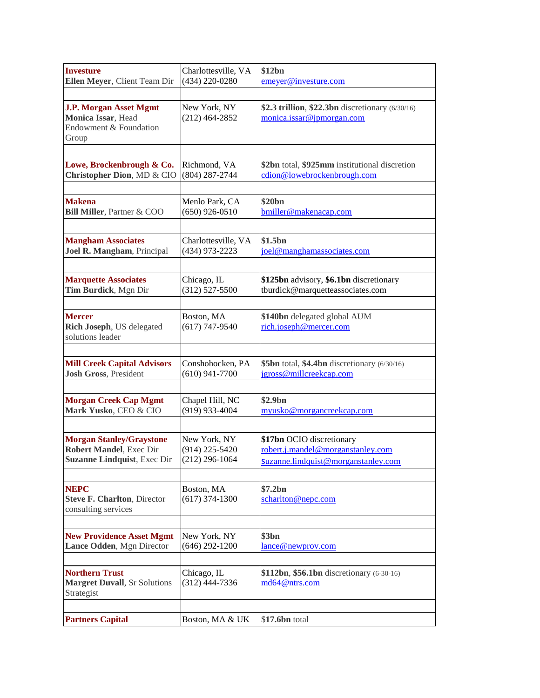| <b>Investure</b>                                              | Charlottesville, VA              | \$12bn                                           |
|---------------------------------------------------------------|----------------------------------|--------------------------------------------------|
| Ellen Meyer, Client Team Dir                                  | (434) 220-0280                   | emeyer@investure.com                             |
|                                                               |                                  |                                                  |
| <b>J.P. Morgan Asset Mgmt</b>                                 | New York, NY                     | \$2.3 trillion, \$22.3bn discretionary (6/30/16) |
| Monica Issar, Head                                            | $(212)$ 464-2852                 | monica.issar@jpmorgan.com                        |
| Endowment & Foundation                                        |                                  |                                                  |
| Group                                                         |                                  |                                                  |
|                                                               |                                  |                                                  |
| Lowe, Brockenbrough & Co.                                     | Richmond, VA                     | \$2bn total, \$925mm institutional discretion    |
| Christopher Dion, MD & CIO                                    | $(804)$ 287-2744                 | cdion@lowebrockenbrough.com                      |
|                                                               |                                  |                                                  |
| <b>Makena</b>                                                 | Menlo Park, CA                   | \$20bn                                           |
| Bill Miller, Partner & COO                                    | $(650)$ 926-0510                 | bmiller@makenacap.com                            |
|                                                               |                                  |                                                  |
| <b>Mangham Associates</b>                                     | Charlottesville, VA              | \$1.5bn                                          |
| Joel R. Mangham, Principal                                    | (434) 973-2223                   | joel@manghamassociates.com                       |
|                                                               |                                  |                                                  |
| <b>Marquette Associates</b>                                   | Chicago, IL                      | \$125bn advisory, \$6.1bn discretionary          |
| Tim Burdick, Mgn Dir                                          | $(312) 527 - 5500$               | tburdick@marquetteassociates.com                 |
|                                                               |                                  |                                                  |
| <b>Mercer</b>                                                 | Boston, MA                       | \$140bn delegated global AUM                     |
| Rich Joseph, US delegated                                     | $(617)$ 747-9540                 | rich.joseph@mercer.com                           |
| solutions leader                                              |                                  |                                                  |
|                                                               |                                  |                                                  |
| <b>Mill Creek Capital Advisors</b>                            | Conshohocken, PA                 | \$5bn total, \$4.4bn discretionary (6/30/16)     |
| <b>Josh Gross</b> , President                                 | $(610)$ 941-7700                 | jgross@millcreekcap.com                          |
|                                                               |                                  |                                                  |
| <b>Morgan Creek Cap Mgmt</b>                                  | Chapel Hill, NC                  | \$2.9bn                                          |
| Mark Yusko, CEO & CIO                                         | (919) 933-4004                   | myusko@morgancreekcap.com                        |
|                                                               |                                  |                                                  |
|                                                               |                                  | \$17bn OCIO discretionary                        |
| <b>Morgan Stanley/Graystone</b><br>Robert Mandel, Exec Dir    | New York, NY<br>$(914)$ 225-5420 | robert.j.mandel@morganstanley.com                |
| <b>Suzanne Lindquist</b> , Exec Dir                           | $(212)$ 296-1064                 | Suzanne.lindquist@morganstanley.com              |
|                                                               |                                  |                                                  |
|                                                               |                                  |                                                  |
| <b>NEPC</b>                                                   | Boston, MA                       | \$7.2bn                                          |
| <b>Steve F. Charlton, Director</b>                            | $(617)$ 374-1300                 | scharlton@nepc.com                               |
| consulting services                                           |                                  |                                                  |
|                                                               |                                  |                                                  |
| <b>New Providence Asset Mgmt</b><br>Lance Odden, Mgn Director | New York, NY<br>$(646)$ 292-1200 | \$3bn                                            |
|                                                               |                                  | lance@newprov.com                                |
|                                                               |                                  |                                                  |
| <b>Northern Trust</b>                                         | Chicago, IL                      | \$112bn, \$56.1bn discretionary (6-30-16)        |
| <b>Margret Duvall</b> , Sr Solutions<br>Strategist            | $(312)$ 444-7336                 | md64@ntrs.com                                    |
|                                                               |                                  |                                                  |
|                                                               |                                  |                                                  |
| <b>Partners Capital</b>                                       | Boston, MA & UK                  | \$17.6bn total                                   |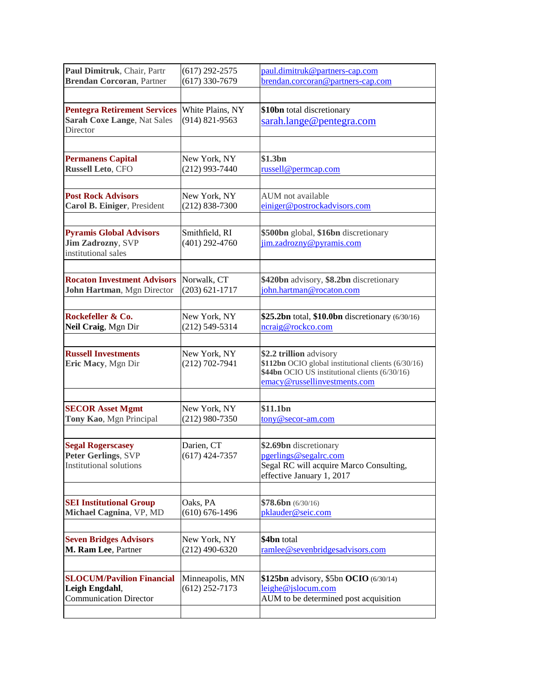| $(617)$ 292-2575<br>$(617)$ 330-7679   | paul.dimitruk@partners-cap.com<br>brendan.corcoran@partners-cap.com                                                                                              |
|----------------------------------------|------------------------------------------------------------------------------------------------------------------------------------------------------------------|
|                                        |                                                                                                                                                                  |
| White Plains, NY<br>$(914) 821 - 9563$ | \$10bn total discretionary<br>sarah.lange@pentegra.com                                                                                                           |
|                                        |                                                                                                                                                                  |
| New York, NY<br>$(212)$ 993-7440       | \$1.3bn<br>russell@permcap.com                                                                                                                                   |
|                                        | AUM not available                                                                                                                                                |
| $(212) 838 - 7300$                     | einiger@postrockadvisors.com                                                                                                                                     |
| Smithfield, RI<br>$(401)$ 292-4760     | \$500bn global, \$16bn discretionary<br>jim.zadrozny@pyramis.com                                                                                                 |
| Norwalk, CT<br>$(203) 621 - 1717$      | \$420bn advisory, \$8.2bn discretionary<br>john.hartman@rocaton.com                                                                                              |
|                                        |                                                                                                                                                                  |
| New York, NY<br>$(212) 549 - 5314$     | \$25.2bn total, \$10.0bn discretionary (6/30/16)<br>ncraig@rockco.com                                                                                            |
| New York, NY<br>$(212) 702 - 7941$     | \$2.2 trillion advisory<br>\$112bn OCIO global institutional clients (6/30/16)<br>\$44bn OCIO US institutional clients (6/30/16)<br>emacy@russellinvestments.com |
|                                        |                                                                                                                                                                  |
| $(212)$ 980-7350                       | \$11.1bn<br>tony@secor-am.com                                                                                                                                    |
| Darien, CT<br>$(617)$ 424-7357         | \$2.69bn discretionary<br>pgerlings@segalrc.com<br>Segal RC will acquire Marco Consulting,<br>effective January 1, 2017                                          |
|                                        |                                                                                                                                                                  |
| $(610) 676 - 1496$                     | \$78.6bn (6/30/16)<br>pklauder@seic.com                                                                                                                          |
|                                        |                                                                                                                                                                  |
| $(212)$ 490-6320                       | \$4bn total<br>ramlee@sevenbridgesadvisors.com                                                                                                                   |
| Minneapolis, MN<br>$(612)$ 252-7173    | \$125bn advisory, \$5bn OCIO (6/30/14)<br>leighe@jslocum.com<br>AUM to be determined post acquisition                                                            |
|                                        | New York, NY<br>New York, NY<br>Oaks, PA<br>New York, NY                                                                                                         |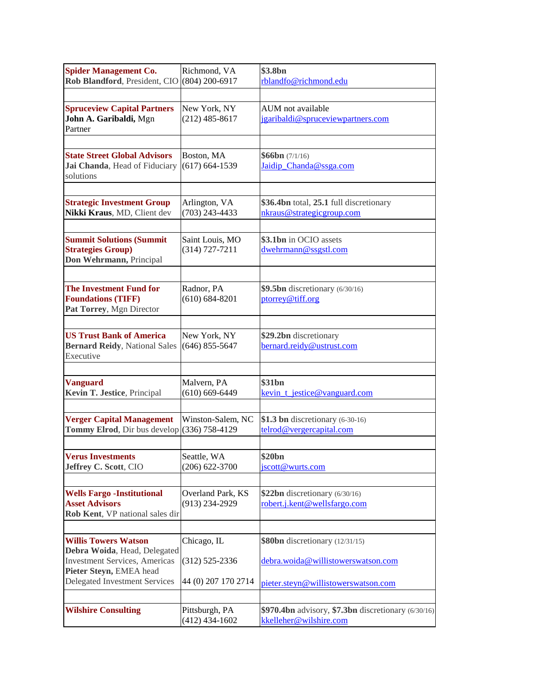| <b>Spider Management Co.</b><br>Rob Blandford, President, CIO                                 | Richmond, VA<br>$(804)$ 200-6917      | \$3.8bn<br>rblandfo@richmond.edu                                              |
|-----------------------------------------------------------------------------------------------|---------------------------------------|-------------------------------------------------------------------------------|
|                                                                                               |                                       |                                                                               |
| <b>Spruceview Capital Partners</b><br>John A. Garibaldi, Mgn<br>Partner                       | New York, NY<br>$(212)$ 485-8617      | AUM not available<br>jgaribaldi@spruceviewpartners.com                        |
|                                                                                               |                                       |                                                                               |
| <b>State Street Global Advisors</b><br>Jai Chanda, Head of Fiduciary<br>solutions             | Boston, MA<br>$(617) 664 - 1539$      | \$66bn (7/1/16)<br>Jaidip Chanda@ssga.com                                     |
|                                                                                               |                                       |                                                                               |
| <b>Strategic Investment Group</b><br>Nikki Kraus, MD, Client dev                              | Arlington, VA<br>$(703)$ 243-4433     | \$36.4bn total, 25.1 full discretionary<br>nkraus@strategicgroup.com          |
|                                                                                               |                                       |                                                                               |
| <b>Summit Solutions (Summit</b><br><b>Strategies Group)</b><br>Don Wehrmann, Principal        | Saint Louis, MO<br>$(314) 727 - 7211$ | \$3.1bn in OCIO assets<br>dwehrmann@ssgstl.com                                |
|                                                                                               |                                       |                                                                               |
| <b>The Investment Fund for</b><br><b>Foundations (TIFF)</b><br>Pat Torrey, Mgn Director       | Radnor, PA<br>$(610) 684 - 8201$      | \$9.5bn discretionary $(6/30/16)$<br>ptorrey@tiff.org                         |
|                                                                                               |                                       |                                                                               |
| <b>US Trust Bank of America</b><br><b>Bernard Reidy, National Sales</b><br>Executive          | New York, NY<br>$(646)$ 855-5647      | \$29.2bn discretionary<br>bernard.reidy@ustrust.com                           |
|                                                                                               |                                       |                                                                               |
| <b>Vanguard</b><br>Kevin T. Jestice, Principal                                                | Malvern, PA<br>$(610) 669 - 6449$     | \$31 <sub>bn</sub><br>kevin_t_jestice@vanguard.com                            |
|                                                                                               |                                       |                                                                               |
| <b>Verger Capital Management</b><br><b>Tommy Elrod, Dir bus develop</b> $(336)$ 758-4129      | Winston-Salem, NC                     | \$1.3 bn discretionary (6-30-16)<br>telrod@vergercapital.com                  |
|                                                                                               |                                       |                                                                               |
| <b>Verus Investments</b><br>Jeffrey C. Scott, CIO                                             | Seattle, WA<br>$(206) 622 - 3700$     | \$20bn<br>jscott@wurts.com                                                    |
|                                                                                               |                                       |                                                                               |
| <b>Wells Fargo -Institutional</b><br><b>Asset Advisors</b><br>Rob Kent, VP national sales dir | Overland Park, KS<br>$(913)$ 234-2929 | \$22bn discretionary $(6/30/16)$<br>robert.j.kent@wellsfargo.com              |
|                                                                                               |                                       |                                                                               |
| <b>Willis Towers Watson</b><br>Debra Woida, Head, Delegated                                   | Chicago, IL                           | \$80bn discretionary (12/31/15)                                               |
| <b>Investment Services</b> , Americas<br>Pieter Steyn, EMEA head                              | $(312)$ 525-2336                      | debra.woida@willistowerswatson.com                                            |
| <b>Delegated Investment Services</b>                                                          | 44 (0) 207 170 2714                   | pieter.steyn@willistowerswatson.com                                           |
|                                                                                               |                                       |                                                                               |
| <b>Wilshire Consulting</b>                                                                    | Pittsburgh, PA<br>$(412)$ 434-1602    | \$970.4bn advisory, \$7.3bn discretionary (6/30/16)<br>kkelleher@wilshire.com |